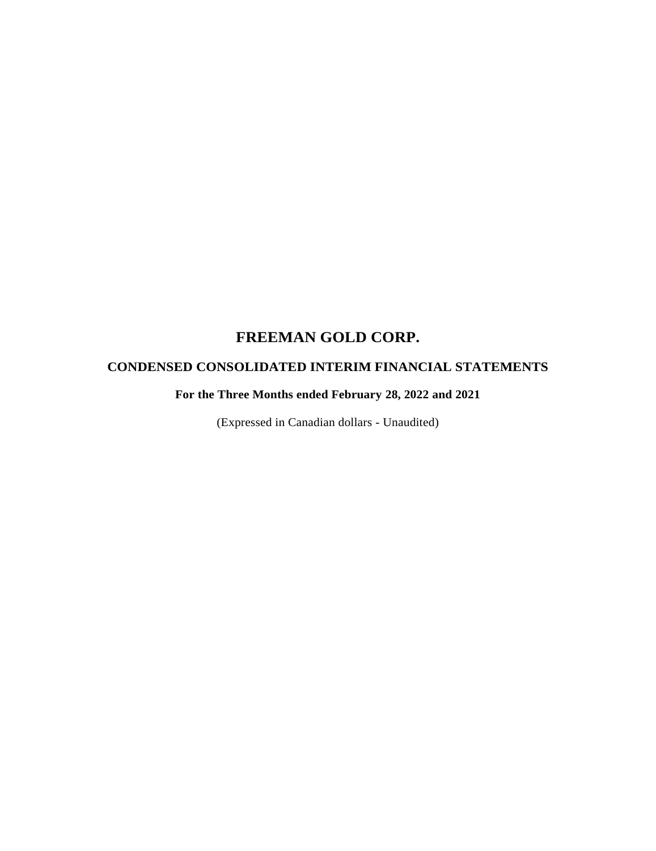# **CONDENSED CONSOLIDATED INTERIM FINANCIAL STATEMENTS**

**For the Three Months ended February 28, 2022 and 2021**

(Expressed in Canadian dollars - Unaudited)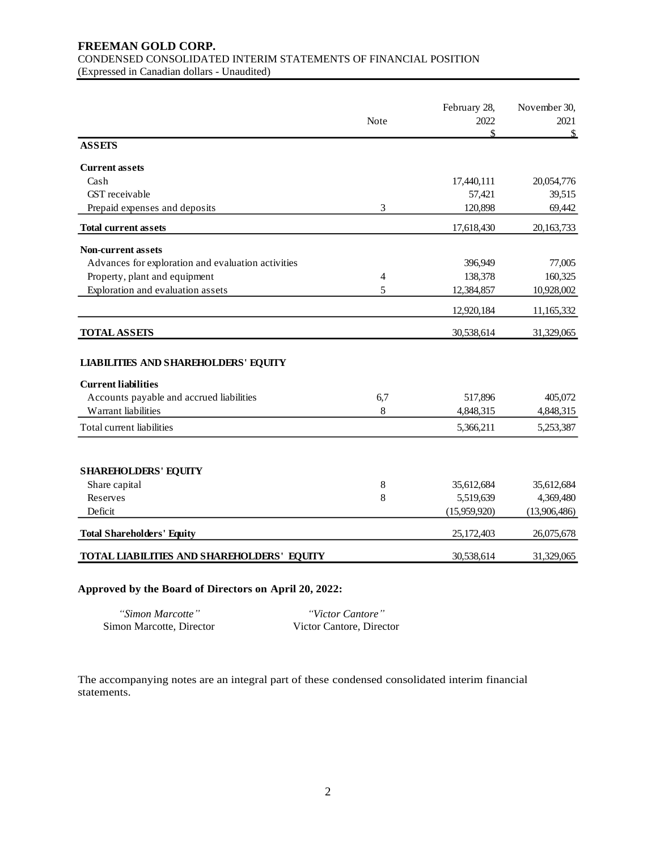### **FREEMAN GOLD CORP.**  CONDENSED CONSOLIDATED INTERIM STATEMENTS OF FINANCIAL POSITION (Expressed in Canadian dollars - Unaudited)

|                                                    |      | February 28, | November 30, |
|----------------------------------------------------|------|--------------|--------------|
|                                                    | Note | 2022<br>\$   | 2021<br>\$   |
| <b>ASSETS</b>                                      |      |              |              |
| <b>Current assets</b>                              |      |              |              |
| Cash                                               |      | 17,440,111   | 20,054,776   |
| GST receivable                                     |      | 57,421       | 39,515       |
| Prepaid expenses and deposits                      | 3    | 120,898      | 69,442       |
| <b>Total current assets</b>                        |      | 17,618,430   | 20, 163, 733 |
| <b>Non-current assets</b>                          |      |              |              |
| Advances for exploration and evaluation activities |      | 396,949      | 77,005       |
| Property, plant and equipment                      | 4    | 138,378      | 160,325      |
| Exploration and evaluation assets                  | 5    | 12,384,857   | 10,928,002   |
|                                                    |      | 12,920,184   | 11,165,332   |
| <b>TOTAL ASSETS</b>                                |      | 30,538,614   | 31,329,065   |
| <b>LIABILITIES AND SHAREHOLDERS' EQUITY</b>        |      |              |              |
| <b>Current liabilities</b>                         |      |              |              |
| Accounts payable and accrued liabilities           | 6,7  | 517,896      | 405,072      |
| Warrant liabilities                                | 8    | 4,848,315    | 4,848,315    |
| Total current liabilities                          |      | 5,366,211    | 5,253,387    |
| <b>SHAREHOLDERS' EQUITY</b>                        |      |              |              |
| Share capital                                      | 8    | 35,612,684   | 35,612,684   |
| Reserves                                           | 8    | 5,519,639    | 4,369,480    |
| Deficit                                            |      | (15,959,920) | (13,906,486) |
|                                                    |      |              |              |
| <b>Total Shareholders' Equity</b>                  |      | 25,172,403   | 26,075,678   |
| TOTAL LIABILITIES AND SHAREHOLDERS' EQUITY         |      | 30,538,614   | 31,329,065   |

### **Approved by the Board of Directors on April 20, 2022:**

| "Simon Marcotte"         | "Victor Cantore"         |
|--------------------------|--------------------------|
| Simon Marcotte, Director | Victor Cantore, Director |

The accompanying notes are an integral part of these condensed consolidated interim financial statements.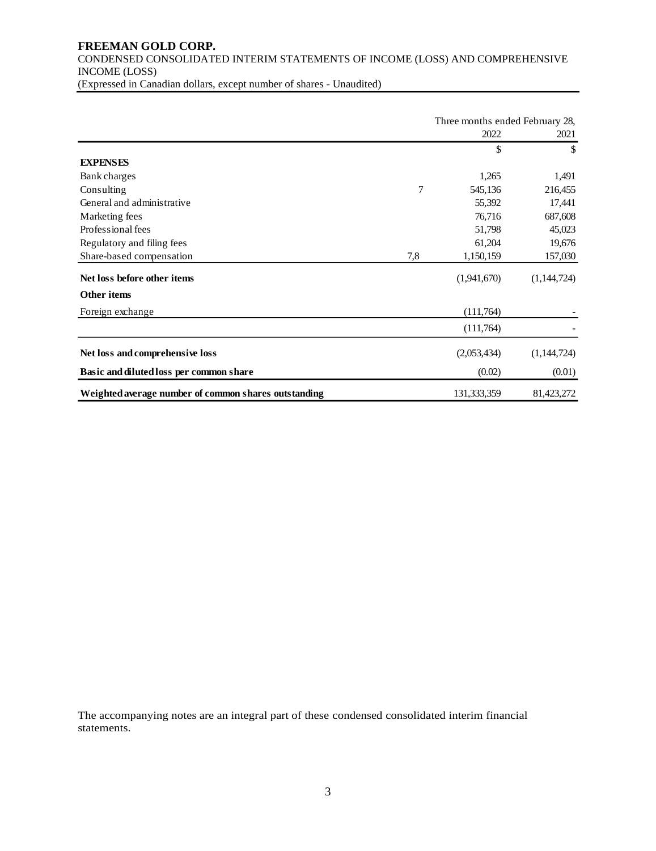# **FREEMAN GOLD CORP.**  CONDENSED CONSOLIDATED INTERIM STATEMENTS OF INCOME (LOSS) AND COMPREHENSIVE INCOME (LOSS)

(Expressed in Canadian dollars, except number of shares - Unaudited)

|                                                      |     | Three months ended February 28, |             |  |
|------------------------------------------------------|-----|---------------------------------|-------------|--|
|                                                      |     | 2022                            | 2021        |  |
|                                                      |     | \$                              | \$          |  |
| <b>EXPENSES</b>                                      |     |                                 |             |  |
| Bank charges                                         |     | 1,265                           | 1,491       |  |
| Consulting                                           | 7   | 545,136                         | 216,455     |  |
| General and administrative                           |     | 55,392                          | 17,441      |  |
| Marketing fees                                       |     | 76,716                          | 687,608     |  |
| Professional fees                                    |     | 51,798                          | 45,023      |  |
| Regulatory and filing fees                           |     | 61,204                          | 19,676      |  |
| Share-based compensation                             | 7,8 | 1,150,159                       | 157,030     |  |
| Net loss before other items                          |     | (1,941,670)                     | (1,144,724) |  |
| <b>Other items</b>                                   |     |                                 |             |  |
| Foreign exchange                                     |     | (111,764)                       |             |  |
|                                                      |     | (111,764)                       |             |  |
| Net loss and comprehensive loss                      |     | (2,053,434)                     | (1,144,724) |  |
| Basic and diluted loss per common share              |     | (0.02)                          | (0.01)      |  |
| Weighted average number of common shares outstanding |     | 131,333,359                     | 81,423,272  |  |

The accompanying notes are an integral part of these condensed consolidated interim financial statements.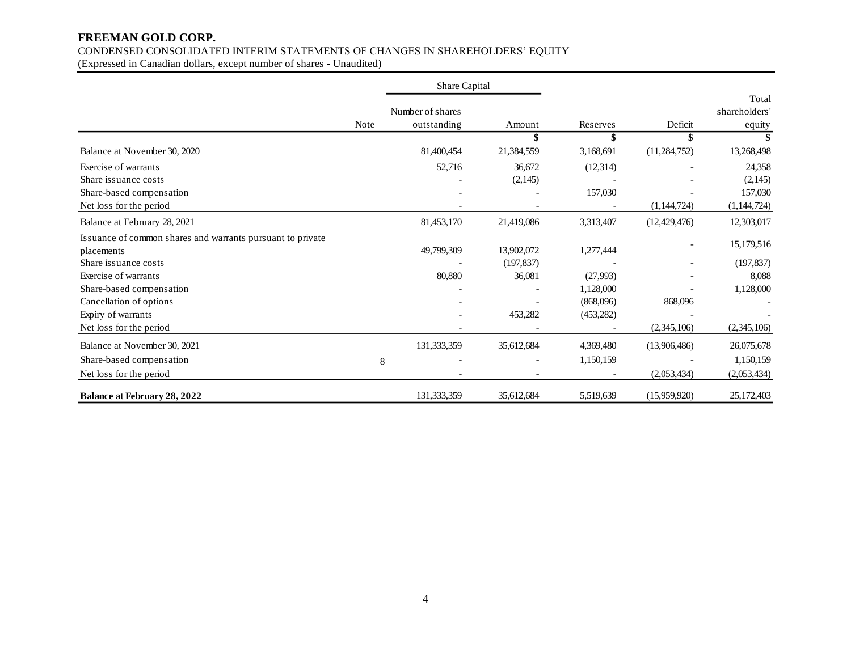# CONDENSED CONSOLIDATED INTERIM STATEMENTS OF CHANGES IN SHAREHOLDERS' EQUITY

(Expressed in Canadian dollars, except number of shares - Unaudited)

|                                                                          |      | Share Capital                   |            |            |                |                                  |
|--------------------------------------------------------------------------|------|---------------------------------|------------|------------|----------------|----------------------------------|
|                                                                          | Note | Number of shares<br>outstanding | Amount     | Reserves   | Deficit        | Total<br>shareholders'<br>equity |
|                                                                          |      |                                 |            |            | \$             |                                  |
| Balance at November 30, 2020                                             |      | 81,400,454                      | 21,384,559 | 3,168,691  | (11, 284, 752) | 13,268,498                       |
| Exercise of warrants                                                     |      | 52,716                          | 36,672     | (12, 314)  |                | 24,358                           |
| Share issuance costs                                                     |      |                                 | (2,145)    |            |                | (2,145)                          |
| Share-based compensation                                                 |      |                                 |            | 157,030    |                | 157,030                          |
| Net loss for the period                                                  |      |                                 |            |            | (1,144,724)    | (1,144,724)                      |
| Balance at February 28, 2021                                             |      | 81,453,170                      | 21,419,086 | 3,313,407  | (12, 429, 476) | 12,303,017                       |
| Issuance of common shares and warrants pursuant to private<br>placements |      | 49,799,309                      | 13,902,072 | 1,277,444  |                | 15,179,516                       |
| Share is suance costs                                                    |      |                                 | (197, 837) |            |                | (197, 837)                       |
| Exercise of warrants                                                     |      | 80,880                          | 36,081     | (27,993)   |                | 8,088                            |
| Share-based compensation                                                 |      |                                 |            | 1,128,000  |                | 1,128,000                        |
| Cancellation of options                                                  |      |                                 |            | (868,096)  | 868,096        |                                  |
| Expiry of warrants                                                       |      |                                 | 453,282    | (453, 282) |                |                                  |
| Net loss for the period                                                  |      |                                 |            |            | (2,345,106)    | (2,345,106)                      |
| Balance at November 30, 2021                                             |      | 131,333,359                     | 35,612,684 | 4,369,480  | (13,906,486)   | 26,075,678                       |
| Share-based compensation                                                 | 8    |                                 |            | 1,150,159  |                | 1,150,159                        |
| Net loss for the period                                                  |      |                                 |            |            | (2,053,434)    | (2,053,434)                      |
| <b>Balance at February 28, 2022</b>                                      |      | 131,333,359                     | 35,612,684 | 5,519,639  | (15,959,920)   | 25, 172, 403                     |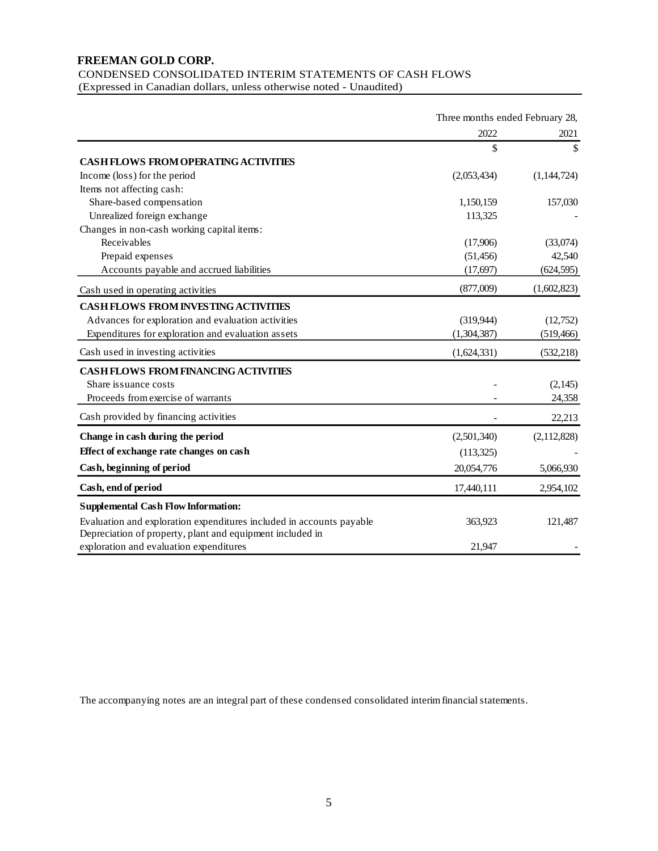CONDENSED CONSOLIDATED INTERIM STATEMENTS OF CASH FLOWS (Expressed in Canadian dollars, unless otherwise noted - Unaudited)

|                                                                      | Three months ended February 28, |              |
|----------------------------------------------------------------------|---------------------------------|--------------|
|                                                                      | 2022                            | 2021         |
|                                                                      | \$                              | $\mathbb{S}$ |
| <b>CASH FLOWS FROM OPERATING ACTIVITIES</b>                          |                                 |              |
| Income (loss) for the period                                         | (2,053,434)                     | (1,144,724)  |
| Items not affecting cash:                                            |                                 |              |
| Share-based compensation                                             | 1,150,159                       | 157,030      |
| Unrealized foreign exchange                                          | 113,325                         |              |
| Changes in non-cash working capital items:                           |                                 |              |
| Receivables                                                          | (17,906)                        | (33,074)     |
| Prepaid expenses                                                     | (51, 456)                       | 42,540       |
| Accounts payable and accrued liabilities                             | (17,697)                        | (624, 595)   |
| Cash used in operating activities                                    | (877,009)                       | (1,602,823)  |
| <b>CASH FLOWS FROM INVESTING ACTIVITIES</b>                          |                                 |              |
| Advances for exploration and evaluation activities                   | (319,944)                       | (12,752)     |
| Expenditures for exploration and evaluation assets                   | (1,304,387)                     | (519, 466)   |
| Cash used in investing activities                                    | (1,624,331)                     | (532, 218)   |
| <b>CASH FLOWS FROM FINANCING ACTIVITIES</b>                          |                                 |              |
| Share issuance costs                                                 |                                 | (2,145)      |
| Proceeds from exercise of warrants                                   |                                 | 24,358       |
| Cash provided by financing activities                                |                                 | 22,213       |
|                                                                      |                                 |              |
| Change in cash during the period                                     | (2,501,340)                     | (2,112,828)  |
| Effect of exchange rate changes on cash                              | (113,325)                       |              |
| Cash, beginning of period                                            | 20,054,776                      | 5,066,930    |
| Cash, end of period                                                  | 17,440,111                      | 2,954,102    |
| <b>Supplemental Cash Flow Information:</b>                           |                                 |              |
| Evaluation and exploration expenditures included in accounts payable | 363,923                         | 121,487      |
| Depreciation of property, plant and equipment included in            |                                 |              |
| exploration and evaluation expenditures                              | 21,947                          |              |

The accompanying notes are an integral part of these condensed consolidated interim financial statements.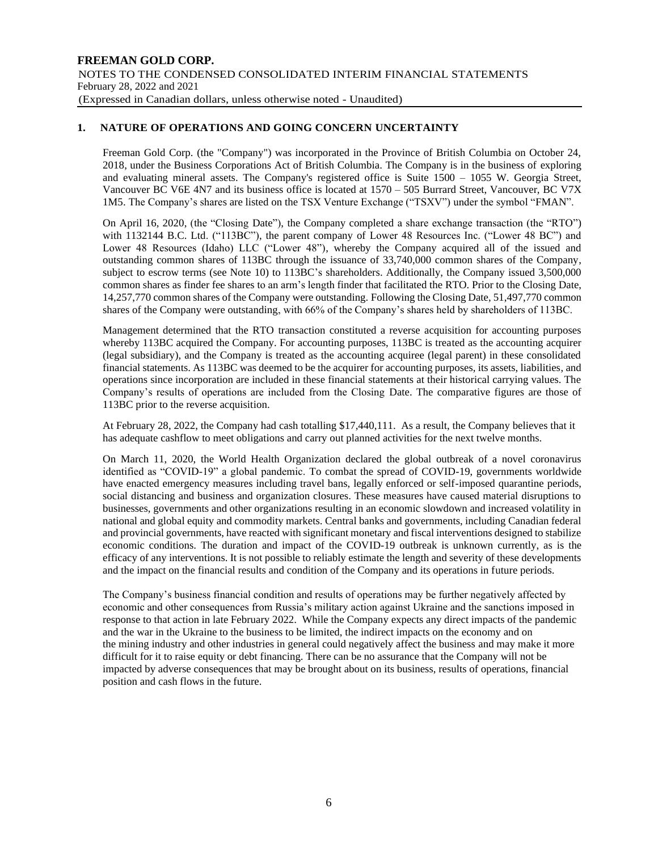### **1. NATURE OF OPERATIONS AND GOING CONCERN UNCERTAINTY**

Freeman Gold Corp. (the "Company") was incorporated in the Province of British Columbia on October 24, 2018, under the Business Corporations Act of British Columbia. The Company is in the business of exploring and evaluating mineral assets. The Company's registered office is Suite 1500 – 1055 W. Georgia Street, Vancouver BC V6E 4N7 and its business office is located at 1570 – 505 Burrard Street, Vancouver, BC V7X 1M5. The Company's shares are listed on the TSX Venture Exchange ("TSXV") under the symbol "FMAN".

On April 16, 2020, (the "Closing Date"), the Company completed a share exchange transaction (the "RTO") with 1132144 B.C. Ltd. ("113BC"), the parent company of Lower 48 Resources Inc. ("Lower 48 BC") and Lower 48 Resources (Idaho) LLC ("Lower 48"), whereby the Company acquired all of the issued and outstanding common shares of 113BC through the issuance of 33,740,000 common shares of the Company, subject to escrow terms (see Note 10) to 113BC's shareholders. Additionally, the Company issued 3,500,000 common shares as finder fee shares to an arm's length finder that facilitated the RTO. Prior to the Closing Date, 14,257,770 common shares of the Company were outstanding. Following the Closing Date, 51,497,770 common shares of the Company were outstanding, with 66% of the Company's shares held by shareholders of 113BC.

Management determined that the RTO transaction constituted a reverse acquisition for accounting purposes whereby 113BC acquired the Company. For accounting purposes, 113BC is treated as the accounting acquirer (legal subsidiary), and the Company is treated as the accounting acquiree (legal parent) in these consolidated financial statements. As 113BC was deemed to be the acquirer for accounting purposes, its assets, liabilities, and operations since incorporation are included in these financial statements at their historical carrying values. The Company's results of operations are included from the Closing Date. The comparative figures are those of 113BC prior to the reverse acquisition.

At February 28, 2022, the Company had cash totalling \$17,440,111. As a result, the Company believes that it has adequate cashflow to meet obligations and carry out planned activities for the next twelve months.

On March 11, 2020, the World Health Organization declared the global outbreak of a novel coronavirus identified as "COVID-19" a global pandemic. To combat the spread of COVID-19, governments worldwide have enacted emergency measures including travel bans, legally enforced or self-imposed quarantine periods, social distancing and business and organization closures. These measures have caused material disruptions to businesses, governments and other organizations resulting in an economic slowdown and increased volatility in national and global equity and commodity markets. Central banks and governments, including Canadian federal and provincial governments, have reacted with significant monetary and fiscal interventions designed to stabilize economic conditions. The duration and impact of the COVID-19 outbreak is unknown currently, as is the efficacy of any interventions. It is not possible to reliably estimate the length and severity of these developments and the impact on the financial results and condition of the Company and its operations in future periods.

The Company's business financial condition and results of operations may be further negatively affected by economic and other consequences from Russia's military action against Ukraine and the sanctions imposed in response to that action in late February 2022. While the Company expects any direct impacts of the pandemic and the war in the Ukraine to the business to be limited, the indirect impacts on the economy and on the mining industry and other industries in general could negatively affect the business and may make it more difficult for it to raise equity or debt financing. There can be no assurance that the Company will not be impacted by adverse consequences that may be brought about on its business, results of operations, financial position and cash flows in the future.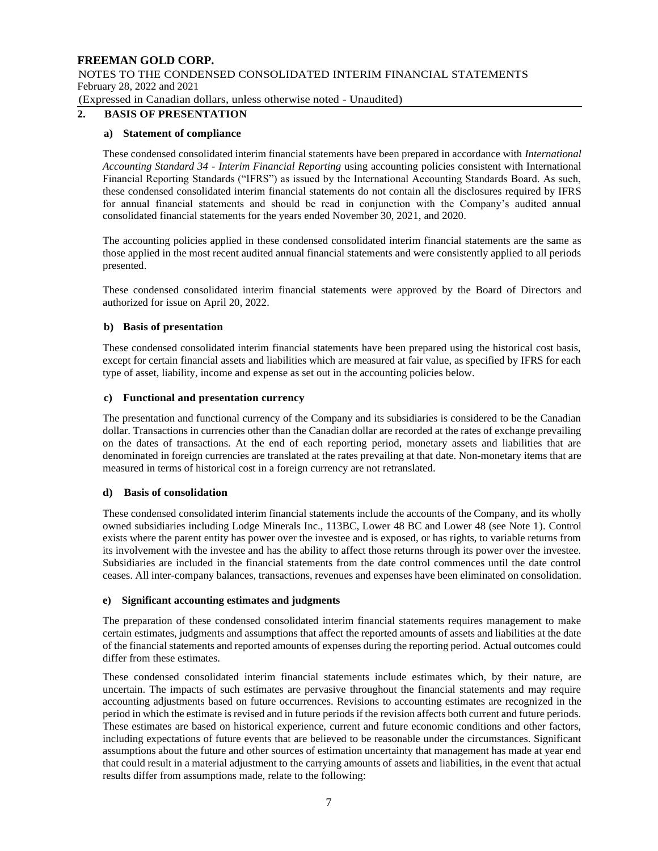NOTES TO THE CONDENSED CONSOLIDATED INTERIM FINANCIAL STATEMENTS February 28, 2022 and 2021

(Expressed in Canadian dollars, unless otherwise noted - Unaudited)

### **2. BASIS OF PRESENTATION**

### **a) Statement of compliance**

These condensed consolidated interim financial statements have been prepared in accordance with *International Accounting Standard 34 - Interim Financial Reporting* using accounting policies consistent with International Financial Reporting Standards ("IFRS") as issued by the International Accounting Standards Board. As such, these condensed consolidated interim financial statements do not contain all the disclosures required by IFRS for annual financial statements and should be read in conjunction with the Company's audited annual consolidated financial statements for the years ended November 30, 2021, and 2020.

The accounting policies applied in these condensed consolidated interim financial statements are the same as those applied in the most recent audited annual financial statements and were consistently applied to all periods presented.

These condensed consolidated interim financial statements were approved by the Board of Directors and authorized for issue on April 20, 2022.

### **b) Basis of presentation**

These condensed consolidated interim financial statements have been prepared using the historical cost basis, except for certain financial assets and liabilities which are measured at fair value, as specified by IFRS for each type of asset, liability, income and expense as set out in the accounting policies below.

### **c) Functional and presentation currency**

The presentation and functional currency of the Company and its subsidiaries is considered to be the Canadian dollar. Transactions in currencies other than the Canadian dollar are recorded at the rates of exchange prevailing on the dates of transactions. At the end of each reporting period, monetary assets and liabilities that are denominated in foreign currencies are translated at the rates prevailing at that date. Non-monetary items that are measured in terms of historical cost in a foreign currency are not retranslated.

#### **d) Basis of consolidation**

These condensed consolidated interim financial statements include the accounts of the Company, and its wholly owned subsidiaries including Lodge Minerals Inc., 113BC, Lower 48 BC and Lower 48 (see Note 1). Control exists where the parent entity has power over the investee and is exposed, or has rights, to variable returns from its involvement with the investee and has the ability to affect those returns through its power over the investee. Subsidiaries are included in the financial statements from the date control commences until the date control ceases. All inter-company balances, transactions, revenues and expenses have been eliminated on consolidation.

#### **e) Significant accounting estimates and judgments**

The preparation of these condensed consolidated interim financial statements requires management to make certain estimates, judgments and assumptions that affect the reported amounts of assets and liabilities at the date of the financial statements and reported amounts of expenses during the reporting period. Actual outcomes could differ from these estimates.

These condensed consolidated interim financial statements include estimates which, by their nature, are uncertain. The impacts of such estimates are pervasive throughout the financial statements and may require accounting adjustments based on future occurrences. Revisions to accounting estimates are recognized in the period in which the estimate is revised and in future periods if the revision affects both current and future periods. These estimates are based on historical experience, current and future economic conditions and other factors, including expectations of future events that are believed to be reasonable under the circumstances. Significant assumptions about the future and other sources of estimation uncertainty that management has made at year end that could result in a material adjustment to the carrying amounts of assets and liabilities, in the event that actual results differ from assumptions made, relate to the following: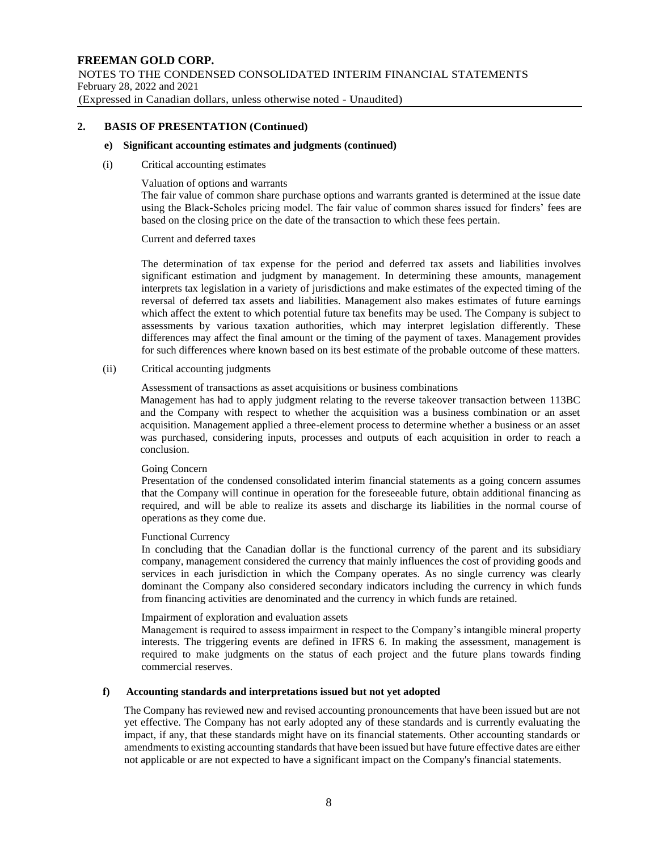### **2. BASIS OF PRESENTATION (Continued)**

### **e) Significant accounting estimates and judgments (continued)**

### (i) Critical accounting estimates

### Valuation of options and warrants

The fair value of common share purchase options and warrants granted is determined at the issue date using the Black-Scholes pricing model. The fair value of common shares issued for finders' fees are based on the closing price on the date of the transaction to which these fees pertain.

### Current and deferred taxes

The determination of tax expense for the period and deferred tax assets and liabilities involves significant estimation and judgment by management. In determining these amounts, management interprets tax legislation in a variety of jurisdictions and make estimates of the expected timing of the reversal of deferred tax assets and liabilities. Management also makes estimates of future earnings which affect the extent to which potential future tax benefits may be used. The Company is subject to assessments by various taxation authorities, which may interpret legislation differently. These differences may affect the final amount or the timing of the payment of taxes. Management provides for such differences where known based on its best estimate of the probable outcome of these matters.

### (ii) Critical accounting judgments

### Assessment of transactions as asset acquisitions or business combinations

Management has had to apply judgment relating to the reverse takeover transaction between 113BC and the Company with respect to whether the acquisition was a business combination or an asset acquisition. Management applied a three-element process to determine whether a business or an asset was purchased, considering inputs, processes and outputs of each acquisition in order to reach a conclusion.

#### Going Concern

Presentation of the condensed consolidated interim financial statements as a going concern assumes that the Company will continue in operation for the foreseeable future, obtain additional financing as required, and will be able to realize its assets and discharge its liabilities in the normal course of operations as they come due.

### Functional Currency

In concluding that the Canadian dollar is the functional currency of the parent and its subsidiary company, management considered the currency that mainly influences the cost of providing goods and services in each jurisdiction in which the Company operates. As no single currency was clearly dominant the Company also considered secondary indicators including the currency in which funds from financing activities are denominated and the currency in which funds are retained.

#### Impairment of exploration and evaluation assets

Management is required to assess impairment in respect to the Company's intangible mineral property interests. The triggering events are defined in IFRS 6. In making the assessment, management is required to make judgments on the status of each project and the future plans towards finding commercial reserves.

#### **f) Accounting standards and interpretations issued but not yet adopted**

The Company has reviewed new and revised accounting pronouncements that have been issued but are not yet effective. The Company has not early adopted any of these standards and is currently evaluating the impact, if any, that these standards might have on its financial statements. Other accounting standards or amendments to existing accounting standards that have been issued but have future effective dates are either not applicable or are not expected to have a significant impact on the Company's financial statements.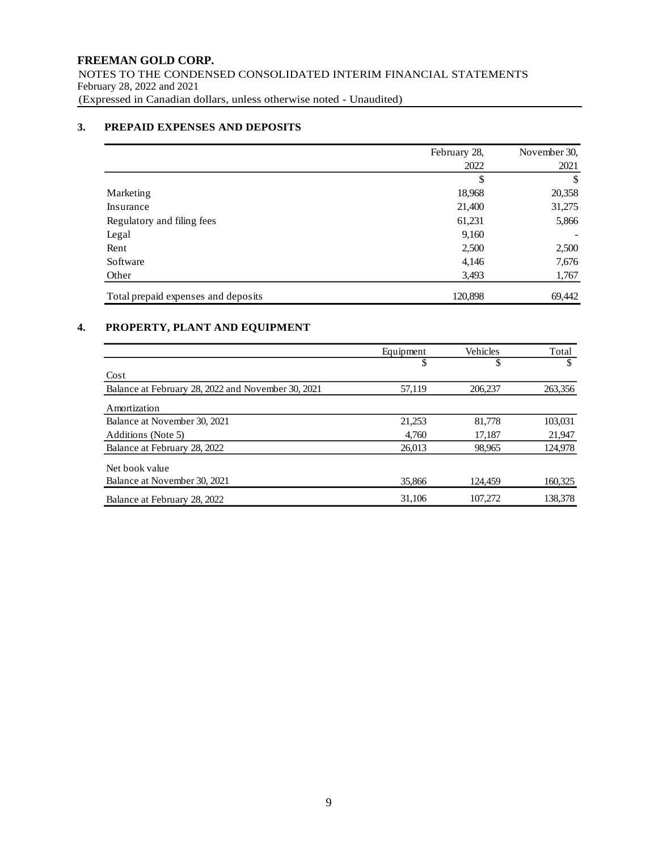### **3. PREPAID EXPENSES AND DEPOSITS**

|                                     | February 28, | November 30, |
|-------------------------------------|--------------|--------------|
|                                     | 2022         | 2021         |
|                                     | \$           | \$           |
| Marketing                           | 18,968       | 20,358       |
| Insurance                           | 21,400       | 31,275       |
| Regulatory and filing fees          | 61,231       | 5,866        |
| Legal                               | 9,160        |              |
| Rent                                | 2,500        | 2,500        |
| Software                            | 4,146        | 7,676        |
| Other                               | 3,493        | 1,767        |
| Total prepaid expenses and deposits | 120,898      | 69,442       |

### **4. PROPERTY, PLANT AND EQUIPMENT**

|                                                    | Equipment | Vehicles | Total   |
|----------------------------------------------------|-----------|----------|---------|
|                                                    | \$        | \$       | \$      |
| Cost                                               |           |          |         |
| Balance at February 28, 2022 and November 30, 2021 | 57.119    | 206,237  | 263,356 |
| Amortization                                       |           |          |         |
| Balance at November 30, 2021                       | 21.253    | 81,778   | 103,031 |
| Additions (Note 5)                                 | 4,760     | 17,187   | 21,947  |
| Balance at February 28, 2022                       | 26.013    | 98,965   | 124,978 |
| Net book value                                     |           |          |         |
| Balance at November 30, 2021                       | 35,866    | 124.459  | 160,325 |
| Balance at February 28, 2022                       | 31.106    | 107.272  | 138.378 |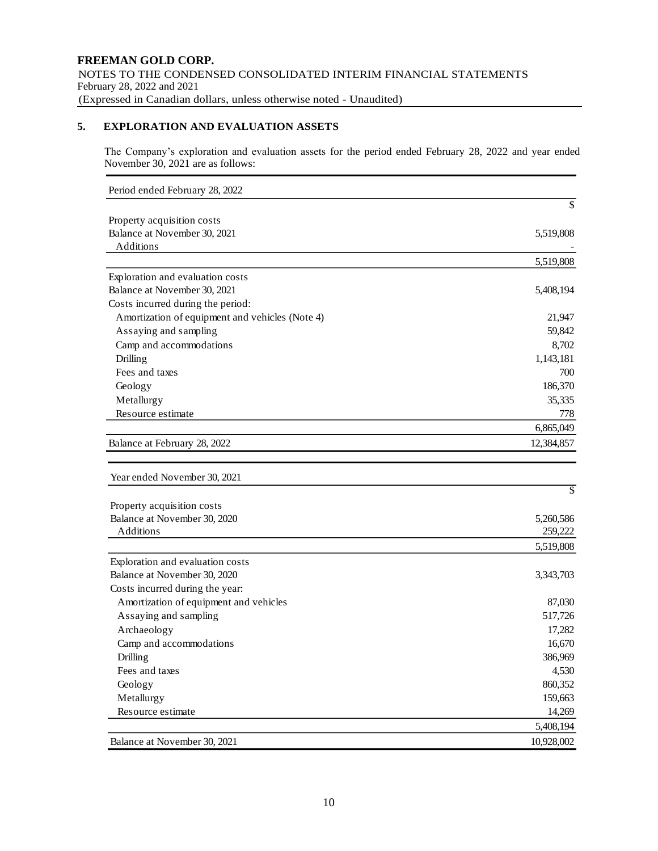### **5. EXPLORATION AND EVALUATION ASSETS**

The Company's exploration and evaluation assets for the period ended February 28, 2022 and year ended November 30, 2021 are as follows:

| Period ended February 28, 2022                  |            |
|-------------------------------------------------|------------|
|                                                 | \$         |
| Property acquisition costs                      |            |
| Balance at November 30, 2021                    | 5,519,808  |
| Additions                                       |            |
|                                                 | 5,519,808  |
| Exploration and evaluation costs                |            |
| Balance at November 30, 2021                    | 5,408,194  |
| Costs incurred during the period:               |            |
| Amortization of equipment and vehicles (Note 4) | 21,947     |
| Assaying and sampling                           | 59,842     |
| Camp and accommodations                         | 8,702      |
| Drilling                                        | 1,143,181  |
| Fees and taxes                                  | 700        |
| Geology                                         | 186,370    |
| Metallurgy                                      | 35,335     |
| Resource estimate                               | 778        |
|                                                 | 6,865,049  |
| Balance at February 28, 2022                    | 12,384,857 |
|                                                 |            |
| Year ended November 30, 2021                    |            |
|                                                 | \$         |
| Property acquisition costs                      |            |
| Balance at November 30, 2020                    | 5,260,586  |
| Additions                                       | 259,222    |
|                                                 | 5,519,808  |
| Exploration and evaluation costs                |            |
| Balance at November 30, 2020                    | 3,343,703  |
| Costs incurred during the year:                 |            |
| Amortization of equipment and vehicles          | 87,030     |
| Assaying and sampling                           | 517,726    |
| Archaeology                                     | 17,282     |
| Camp and accommodations                         | 16,670     |
| Drilling                                        | 386,969    |
| Fees and taxes                                  | 4,530      |
| Geology                                         | 860,352    |
| Metallurgy                                      | 159,663    |
| Resource estimate                               | 14,269     |
|                                                 | 5,408,194  |
| Balance at November 30, 2021                    | 10,928,002 |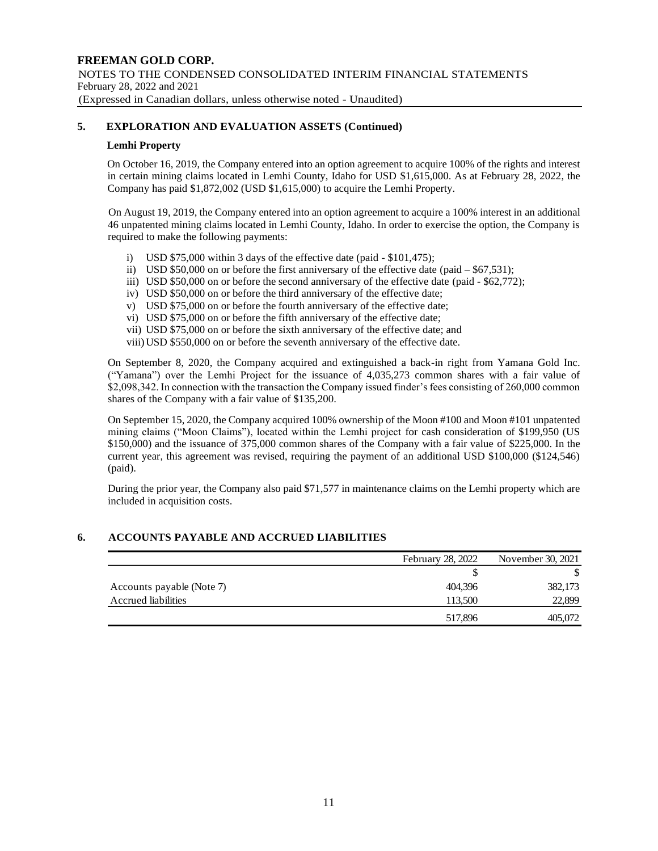### **5. EXPLORATION AND EVALUATION ASSETS (Continued)**

### **Lemhi Property**

On October 16, 2019, the Company entered into an option agreement to acquire 100% of the rights and interest in certain mining claims located in Lemhi County, Idaho for USD \$1,615,000. As at February 28, 2022, the Company has paid \$1,872,002 (USD \$1,615,000) to acquire the Lemhi Property.

 On August 19, 2019, the Company entered into an option agreement to acquire a 100% interest in an additional 46 unpatented mining claims located in Lemhi County, Idaho. In order to exercise the option, the Company is required to make the following payments:

- i) USD \$75,000 within 3 days of the effective date (paid \$101,475);
- ii) USD  $$50,000$  on or before the first anniversary of the effective date (paid  $-$  \$67,531);
- iii) USD \$50,000 on or before the second anniversary of the effective date (paid \$62,772);
- iv) USD \$50,000 on or before the third anniversary of the effective date;
- v) USD \$75,000 on or before the fourth anniversary of the effective date;
- vi) USD \$75,000 on or before the fifth anniversary of the effective date;
- vii) USD \$75,000 on or before the sixth anniversary of the effective date; and
- viii)USD \$550,000 on or before the seventh anniversary of the effective date.

On September 8, 2020, the Company acquired and extinguished a back-in right from Yamana Gold Inc. ("Yamana") over the Lemhi Project for the issuance of 4,035,273 common shares with a fair value of \$2,098,342. In connection with the transaction the Company issued finder's fees consisting of 260,000 common shares of the Company with a fair value of \$135,200.

On September 15, 2020, the Company acquired 100% ownership of the Moon #100 and Moon #101 unpatented mining claims ("Moon Claims"), located within the Lemhi project for cash consideration of \$199,950 (US \$150,000) and the issuance of 375,000 common shares of the Company with a fair value of \$225,000. In the current year, this agreement was revised, requiring the payment of an additional USD \$100,000 (\$124,546) (paid).

During the prior year, the Company also paid \$71,577 in maintenance claims on the Lemhi property which are included in acquisition costs.

### **6. ACCOUNTS PAYABLE AND ACCRUED LIABILITIES**

|                           | February 28, 2022 | November 30, 2021 |
|---------------------------|-------------------|-------------------|
|                           | S                 |                   |
| Accounts payable (Note 7) | 404,396           | 382,173           |
| Accrued liabilities       | 113.500           | 22,899            |
|                           | 517.896           | 405,072           |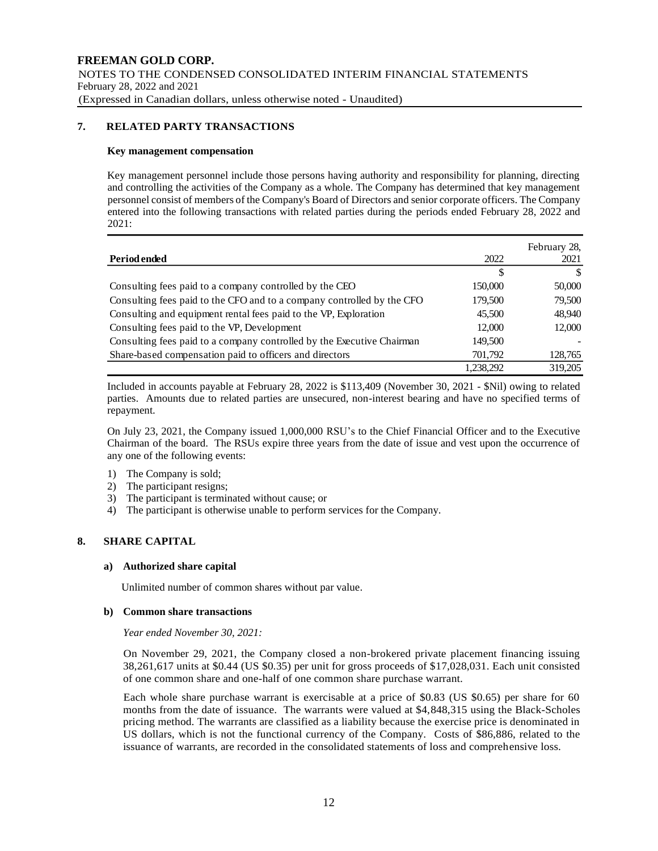### **7. RELATED PARTY TRANSACTIONS**

#### **Key management compensation**

Key management personnel include those persons having authority and responsibility for planning, directing and controlling the activities of the Company as a whole. The Company has determined that key management personnel consist of members of the Company's Board of Directors and senior corporate officers. The Company entered into the following transactions with related parties during the periods ended February 28, 2022 and 2021:

| Period ended                                                           | 2022      | February 28,<br>2021 |
|------------------------------------------------------------------------|-----------|----------------------|
|                                                                        | S         | <sup>\$</sup>        |
| Consulting fees paid to a company controlled by the CEO                | 150,000   | 50,000               |
| Consulting fees paid to the CFO and to a company controlled by the CFO | 179,500   | 79,500               |
| Consulting and equipment rental fees paid to the VP, Exploration       | 45,500    | 48,940               |
| Consulting fees paid to the VP, Development                            | 12,000    | 12,000               |
| Consulting fees paid to a company controlled by the Executive Chairman | 149,500   |                      |
| Share-based compensation paid to officers and directors                | 701,792   | 128,765              |
|                                                                        | 1.238.292 | 319,205              |

Included in accounts payable at February 28, 2022 is \$113,409 (November 30, 2021 - \$Nil) owing to related parties. Amounts due to related parties are unsecured, non-interest bearing and have no specified terms of repayment.

On July 23, 2021, the Company issued 1,000,000 RSU's to the Chief Financial Officer and to the Executive Chairman of the board. The RSUs expire three years from the date of issue and vest upon the occurrence of any one of the following events:

- 1) The Company is sold;
- 2) The participant resigns;
- 3) The participant is terminated without cause; or
- 4) The participant is otherwise unable to perform services for the Company.

### **8. SHARE CAPITAL**

#### **a) Authorized share capital**

Unlimited number of common shares without par value.

#### **b) Common share transactions**

*Year ended November 30, 2021:*

On November 29, 2021, the Company closed a non-brokered private placement financing issuing 38,261,617 units at \$0.44 (US \$0.35) per unit for gross proceeds of \$17,028,031. Each unit consisted of one common share and one-half of one common share purchase warrant.

Each whole share purchase warrant is exercisable at a price of \$0.83 (US \$0.65) per share for 60 months from the date of issuance. The warrants were valued at \$4,848,315 using the Black-Scholes pricing method. The warrants are classified as a liability because the exercise price is denominated in US dollars, which is not the functional currency of the Company. Costs of \$86,886, related to the issuance of warrants, are recorded in the consolidated statements of loss and comprehensive loss.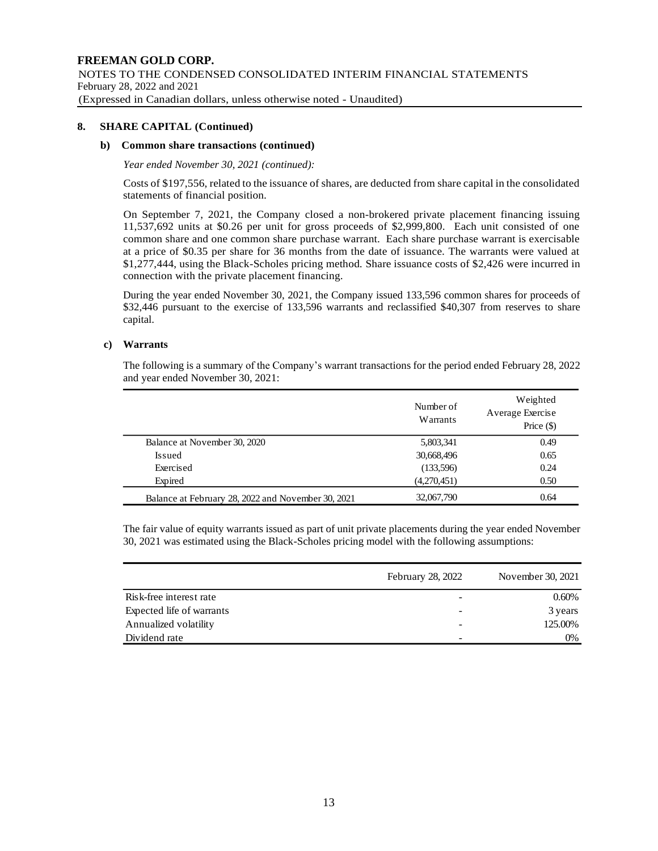### **8. SHARE CAPITAL (Continued)**

### **b) Common share transactions (continued)**

#### *Year ended November 30, 2021 (continued):*

Costs of \$197,556, related to the issuance of shares, are deducted from share capital in the consolidated statements of financial position.

On September 7, 2021, the Company closed a non-brokered private placement financing issuing 11,537,692 units at \$0.26 per unit for gross proceeds of \$2,999,800. Each unit consisted of one common share and one common share purchase warrant. Each share purchase warrant is exercisable at a price of \$0.35 per share for 36 months from the date of issuance. The warrants were valued at \$1,277,444, using the Black-Scholes pricing method. Share issuance costs of \$2,426 were incurred in connection with the private placement financing.

During the year ended November 30, 2021, the Company issued 133,596 common shares for proceeds of \$32,446 pursuant to the exercise of 133,596 warrants and reclassified \$40,307 from reserves to share capital.

### **c) Warrants**

The following is a summary of the Company's warrant transactions for the period ended February 28, 2022 and year ended November 30, 2021:

|                                                    | Number of<br>Warrants | Weighted<br>Average Exercise<br>Price $(\$)$ |
|----------------------------------------------------|-----------------------|----------------------------------------------|
| Balance at November 30, 2020                       | 5,803,341             | 0.49                                         |
| Issued                                             | 30,668,496            | 0.65                                         |
| Exercised                                          | (133,596)             | 0.24                                         |
| Expired                                            | (4,270,451)           | 0.50                                         |
| Balance at February 28, 2022 and November 30, 2021 | 32,067,790            | 0.64                                         |

The fair value of equity warrants issued as part of unit private placements during the year ended November 30, 2021 was estimated using the Black-Scholes pricing model with the following assumptions:

|                           | <b>February 28, 2022</b> | November 30, 2021 |
|---------------------------|--------------------------|-------------------|
| Risk-free interest rate   |                          | $0.60\%$          |
| Expected life of warrants |                          | 3 years           |
| Annualized volatility     |                          | 125.00%           |
| Dividend rate             | -                        | 0%                |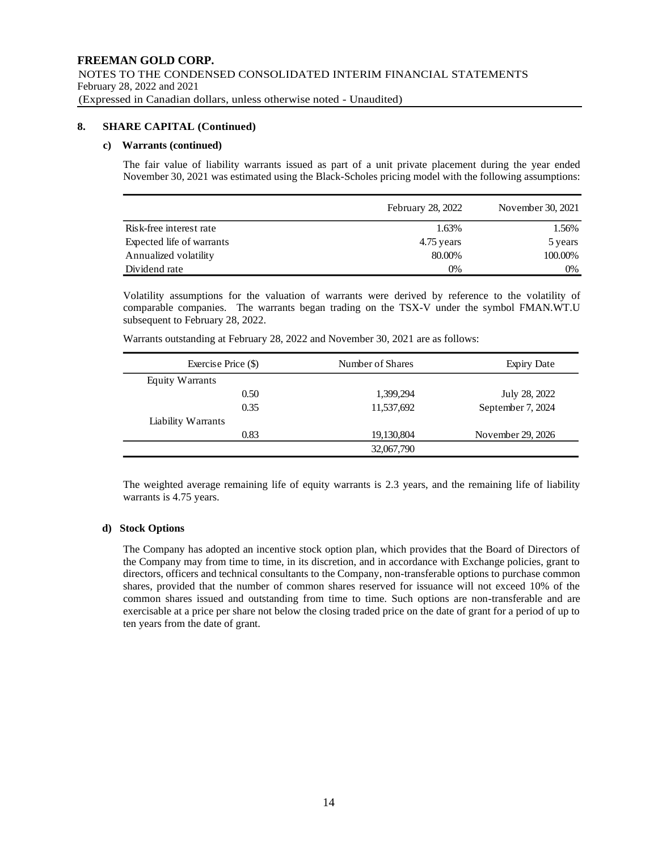### **8. SHARE CAPITAL (Continued)**

### **c) Warrants (continued)**

The fair value of liability warrants issued as part of a unit private placement during the year ended November 30, 2021 was estimated using the Black-Scholes pricing model with the following assumptions:

|                           | February 28, 2022 | November 30, 2021 |
|---------------------------|-------------------|-------------------|
| Risk-free interest rate   | 1.63%             | 1.56%             |
| Expected life of warrants | 4.75 years        | 5 years           |
| Annualized volatility     | 80.00%            | 100.00%           |
| Dividend rate             | 0%                | 0%                |

Volatility assumptions for the valuation of warrants were derived by reference to the volatility of comparable companies. The warrants began trading on the TSX-V under the symbol FMAN.WT.U subsequent to February 28, 2022.

| Exercise Price (\$) | Number of Shares | <b>Expiry Date</b> |
|---------------------|------------------|--------------------|
| Equity Warrants     |                  |                    |
| 0.50                | 1,399,294        | July 28, 2022      |
| 0.35                | 11,537,692       | September 7, 2024  |
| Liability Warrants  |                  |                    |
| 0.83                | 19,130,804       | November 29, 2026  |
|                     | 32,067,790       |                    |

The weighted average remaining life of equity warrants is 2.3 years, and the remaining life of liability warrants is 4.75 years.

### **d) Stock Options**

The Company has adopted an incentive stock option plan, which provides that the Board of Directors of the Company may from time to time, in its discretion, and in accordance with Exchange policies, grant to directors, officers and technical consultants to the Company, non-transferable options to purchase common shares, provided that the number of common shares reserved for issuance will not exceed 10% of the common shares issued and outstanding from time to time. Such options are non-transferable and are exercisable at a price per share not below the closing traded price on the date of grant for a period of up to ten years from the date of grant.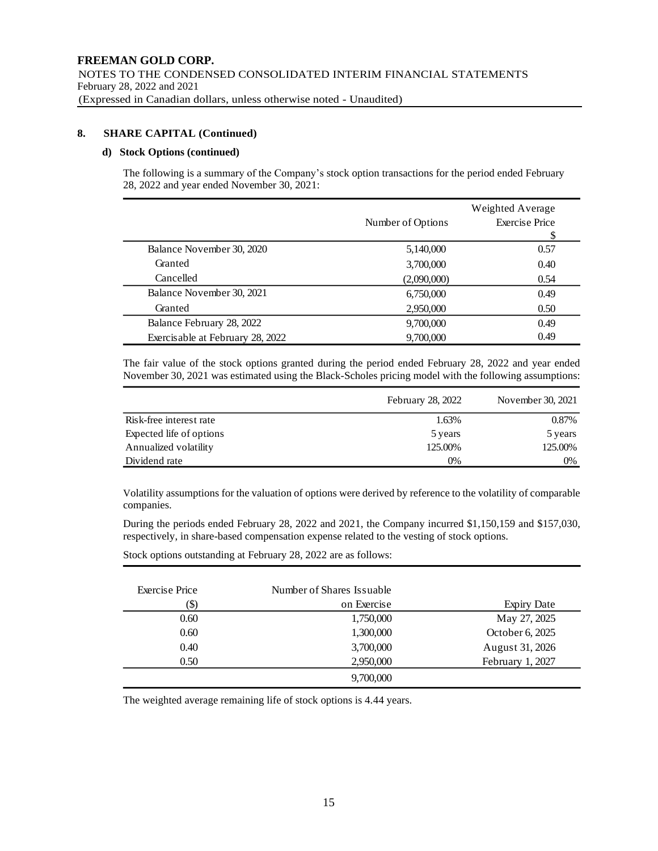### **8. SHARE CAPITAL (Continued)**

#### **d) Stock Options (continued)**

The following is a summary of the Company's stock option transactions for the period ended February 28, 2022 and year ended November 30, 2021:

|                                  | Weighted Average  |                       |
|----------------------------------|-------------------|-----------------------|
|                                  | Number of Options | <b>Exercise Price</b> |
|                                  |                   |                       |
| Balance November 30, 2020        | 5,140,000         | 0.57                  |
| Granted                          | 3,700,000         | 0.40                  |
| Cancelled                        | (2,090,000)       | 0.54                  |
| Balance November 30, 2021        | 6,750,000         | 0.49                  |
| Granted                          | 2,950,000         | 0.50                  |
| Balance February 28, 2022        | 9,700,000         | 0.49                  |
| Exercisable at February 28, 2022 | 9,700,000         | 0.49                  |

The fair value of the stock options granted during the period ended February 28, 2022 and year ended November 30, 2021 was estimated using the Black-Scholes pricing model with the following assumptions:

|                          | February 28, 2022 | November 30, 2021 |
|--------------------------|-------------------|-------------------|
| Risk-free interest rate  | 1.63%             | 0.87%             |
| Expected life of options | 5 years           | 5 years           |
| Annualized volatility    | 125.00%           | 125.00%           |
| Dividend rate            | 0%                | 0%                |

Volatility assumptions for the valuation of options were derived by reference to the volatility of comparable companies.

During the periods ended February 28, 2022 and 2021, the Company incurred \$1,150,159 and \$157,030, respectively, in share-based compensation expense related to the vesting of stock options.

Stock options outstanding at February 28, 2022 are as follows:

| Exercise Price | Number of Shares Issuable |                    |
|----------------|---------------------------|--------------------|
| IΦ             | on Exercise               | <b>Expiry Date</b> |
| 0.60           | 1,750,000                 | May 27, 2025       |
| 0.60           | 1,300,000                 | October 6, 2025    |
| 0.40           | 3,700,000                 | August 31, 2026    |
| 0.50           | 2,950,000                 | February 1, 2027   |
|                | 9,700,000                 |                    |

The weighted average remaining life of stock options is 4.44 years.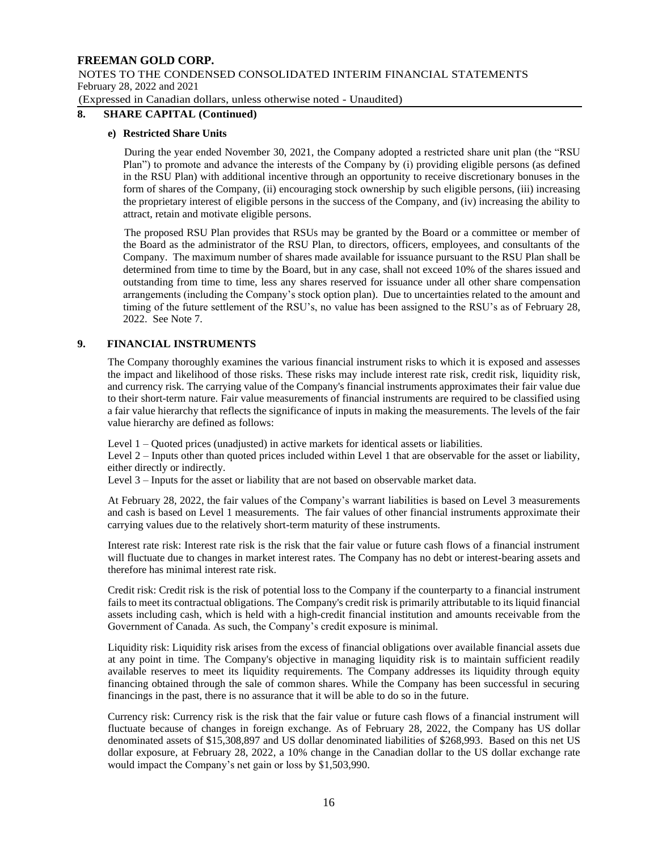NOTES TO THE CONDENSED CONSOLIDATED INTERIM FINANCIAL STATEMENTS February 28, 2022 and 2021

(Expressed in Canadian dollars, unless otherwise noted - Unaudited)

### **8. SHARE CAPITAL (Continued)**

### **e) Restricted Share Units**

During the year ended November 30, 2021, the Company adopted a restricted share unit plan (the "RSU Plan") to promote and advance the interests of the Company by (i) providing eligible persons (as defined in the RSU Plan) with additional incentive through an opportunity to receive discretionary bonuses in the form of shares of the Company, (ii) encouraging stock ownership by such eligible persons, (iii) increasing the proprietary interest of eligible persons in the success of the Company, and (iv) increasing the ability to attract, retain and motivate eligible persons.

The proposed RSU Plan provides that RSUs may be granted by the Board or a committee or member of the Board as the administrator of the RSU Plan, to directors, officers, employees, and consultants of the Company. The maximum number of shares made available for issuance pursuant to the RSU Plan shall be determined from time to time by the Board, but in any case, shall not exceed 10% of the shares issued and outstanding from time to time, less any shares reserved for issuance under all other share compensation arrangements (including the Company's stock option plan). Due to uncertainties related to the amount and timing of the future settlement of the RSU's, no value has been assigned to the RSU's as of February 28, 2022. See Note 7.

### **9. FINANCIAL INSTRUMENTS**

The Company thoroughly examines the various financial instrument risks to which it is exposed and assesses the impact and likelihood of those risks. These risks may include interest rate risk, credit risk, liquidity risk, and currency risk. The carrying value of the Company's financial instruments approximates their fair value due to their short-term nature. Fair value measurements of financial instruments are required to be classified using a fair value hierarchy that reflects the significance of inputs in making the measurements. The levels of the fair value hierarchy are defined as follows:

Level 1 – Quoted prices (unadjusted) in active markets for identical assets or liabilities.

Level 2 – Inputs other than quoted prices included within Level 1 that are observable for the asset or liability, either directly or indirectly.

Level 3 – Inputs for the asset or liability that are not based on observable market data.

At February 28, 2022, the fair values of the Company's warrant liabilities is based on Level 3 measurements and cash is based on Level 1 measurements. The fair values of other financial instruments approximate their carrying values due to the relatively short-term maturity of these instruments.

Interest rate risk: Interest rate risk is the risk that the fair value or future cash flows of a financial instrument will fluctuate due to changes in market interest rates. The Company has no debt or interest-bearing assets and therefore has minimal interest rate risk.

Credit risk: Credit risk is the risk of potential loss to the Company if the counterparty to a financial instrument fails to meet its contractual obligations. The Company's credit risk is primarily attributable to its liquid financial assets including cash, which is held with a high-credit financial institution and amounts receivable from the Government of Canada. As such, the Company's credit exposure is minimal.

Liquidity risk: Liquidity risk arises from the excess of financial obligations over available financial assets due at any point in time. The Company's objective in managing liquidity risk is to maintain sufficient readily available reserves to meet its liquidity requirements. The Company addresses its liquidity through equity financing obtained through the sale of common shares. While the Company has been successful in securing financings in the past, there is no assurance that it will be able to do so in the future.

Currency risk: Currency risk is the risk that the fair value or future cash flows of a financial instrument will fluctuate because of changes in foreign exchange. As of February 28, 2022, the Company has US dollar denominated assets of \$15,308,897 and US dollar denominated liabilities of \$268,993. Based on this net US dollar exposure, at February 28, 2022, a 10% change in the Canadian dollar to the US dollar exchange rate would impact the Company's net gain or loss by \$1,503,990.